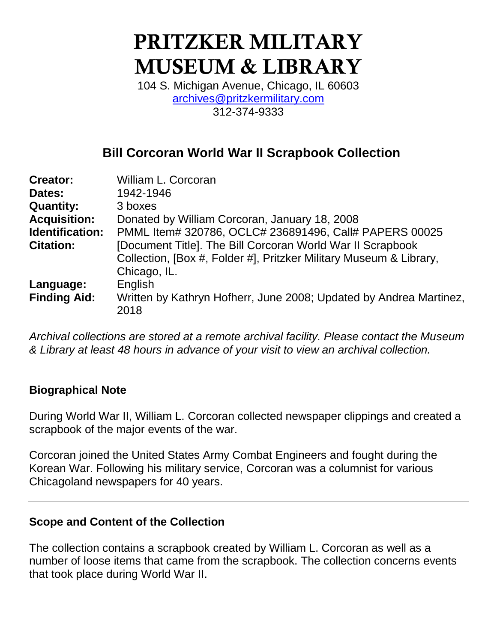# **PRITZKER MILITARY MUSEUM & LIBRARY**

104 S. Michigan Avenue, Chicago, IL 60603 [archives@pritzkermilitary.com](mailto:archives@pritzkermilitary.com) 312-374-9333

# **Bill Corcoran World War II Scrapbook Collection**

| <b>Creator:</b>     | William L. Corcoran                                                                                                              |  |
|---------------------|----------------------------------------------------------------------------------------------------------------------------------|--|
| Dates:              | 1942-1946                                                                                                                        |  |
| <b>Quantity:</b>    | 3 boxes                                                                                                                          |  |
| <b>Acquisition:</b> | Donated by William Corcoran, January 18, 2008                                                                                    |  |
| Identification:     | PMML Item# 320786, OCLC# 236891496, Call# PAPERS 00025                                                                           |  |
| <b>Citation:</b>    | [Document Title]. The Bill Corcoran World War II Scrapbook<br>Collection, [Box #, Folder #], Pritzker Military Museum & Library, |  |
|                     | Chicago, IL.                                                                                                                     |  |
| Language:           | English                                                                                                                          |  |
| <b>Finding Aid:</b> | Written by Kathryn Hofherr, June 2008; Updated by Andrea Martinez,<br>2018                                                       |  |

*Archival collections are stored at a remote archival facility. Please contact the Museum & Library at least 48 hours in advance of your visit to view an archival collection.*

#### **Biographical Note**

During World War II, William L. Corcoran collected newspaper clippings and created a scrapbook of the major events of the war.

Corcoran joined the United States Army Combat Engineers and fought during the Korean War. Following his military service, Corcoran was a columnist for various Chicagoland newspapers for 40 years.

## **Scope and Content of the Collection**

The collection contains a scrapbook created by William L. Corcoran as well as a number of loose items that came from the scrapbook. The collection concerns events that took place during World War II.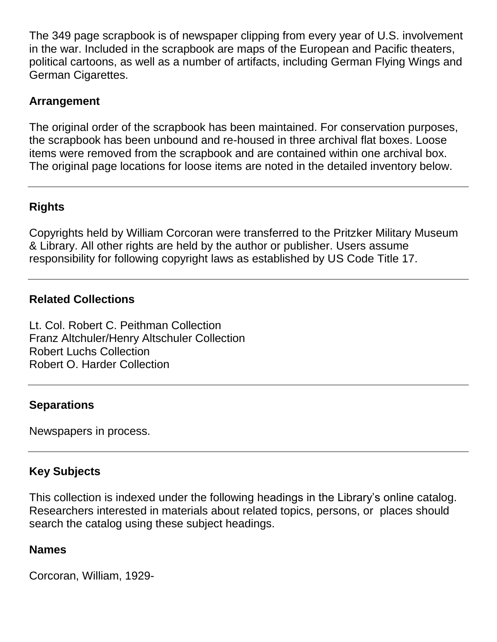The 349 page scrapbook is of newspaper clipping from every year of U.S. involvement in the war. Included in the scrapbook are maps of the European and Pacific theaters, political cartoons, as well as a number of artifacts, including German Flying Wings and German Cigarettes.

## **Arrangement**

The original order of the scrapbook has been maintained. For conservation purposes, the scrapbook has been unbound and re-housed in three archival flat boxes. Loose items were removed from the scrapbook and are contained within one archival box. The original page locations for loose items are noted in the detailed inventory below.

# **Rights**

Copyrights held by William Corcoran were transferred to the Pritzker Military Museum & Library. All other rights are held by the author or publisher. Users assume responsibility for following copyright laws as established by US Code Title 17.

# **Related Collections**

Lt. Col. Robert C. Peithman Collection Franz Altchuler/Henry Altschuler Collection Robert Luchs Collection Robert O. Harder Collection

## **Separations**

Newspapers in process.

# **Key Subjects**

This collection is indexed under the following headings in the Library's online catalog. Researchers interested in materials about related topics, persons, or places should search the catalog using these subject headings.

## **Names**

Corcoran, William, 1929-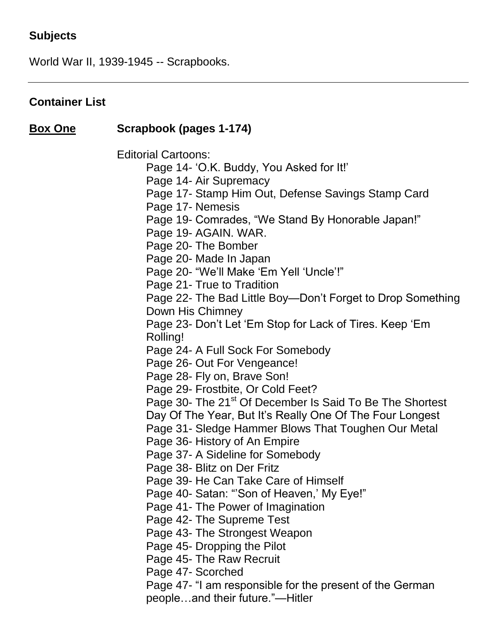## **Subjects**

World War II, 1939-1945 -- Scrapbooks.

#### **Container List**

## **Box One Scrapbook (pages 1-174)**

Editorial Cartoons:

Page 14- 'O.K. Buddy, You Asked for It!'

Page 14- Air Supremacy

Page 17- Stamp Him Out, Defense Savings Stamp Card

Page 17- Nemesis

Page 19- Comrades, "We Stand By Honorable Japan!"

Page 19- AGAIN. WAR.

Page 20- The Bomber

Page 20- Made In Japan

Page 20- "We'll Make 'Em Yell 'Uncle'!"

Page 21- True to Tradition

Page 22- The Bad Little Boy—Don't Forget to Drop Something Down His Chimney

Page 23- Don't Let 'Em Stop for Lack of Tires. Keep 'Em Rolling!

Page 24- A Full Sock For Somebody

Page 26- Out For Vengeance!

Page 28- Fly on, Brave Son!

Page 29- Frostbite, Or Cold Feet?

Page 30- The 21<sup>st</sup> Of December Is Said To Be The Shortest

Day Of The Year, But It's Really One Of The Four Longest

Page 31- Sledge Hammer Blows That Toughen Our Metal

Page 36- History of An Empire

Page 37- A Sideline for Somebody

Page 38- Blitz on Der Fritz

Page 39- He Can Take Care of Himself

Page 40- Satan: "'Son of Heaven,' My Eye!"

Page 41- The Power of Imagination

Page 42- The Supreme Test

Page 43- The Strongest Weapon

Page 45- Dropping the Pilot

Page 45- The Raw Recruit

Page 47- Scorched

Page 47- "I am responsible for the present of the German people…and their future."—Hitler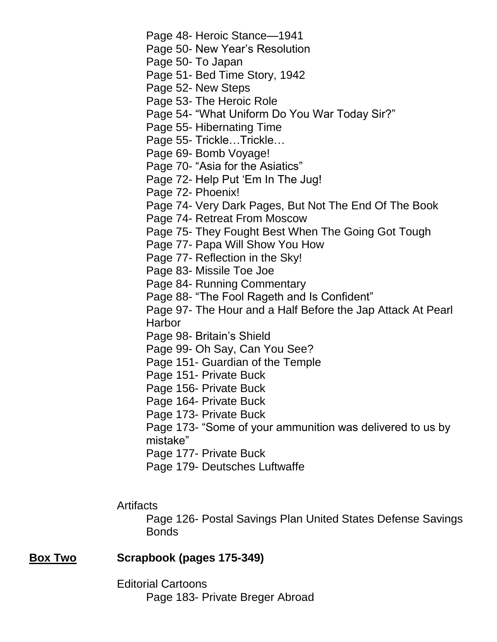Page 48- Heroic Stance—1941

Page 50- New Year's Resolution

Page 50- To Japan

Page 51- Bed Time Story, 1942

Page 52- New Steps

Page 53- The Heroic Role

Page 54- "What Uniform Do You War Today Sir?"

Page 55- Hibernating Time

Page 55- Trickle…Trickle…

Page 69- Bomb Voyage!

Page 70- "Asia for the Asiatics"

Page 72- Help Put 'Em In The Jug!

Page 72- Phoenix!

Page 74- Very Dark Pages, But Not The End Of The Book

Page 74- Retreat From Moscow

Page 75- They Fought Best When The Going Got Tough

Page 77- Papa Will Show You How

Page 77- Reflection in the Sky!

Page 83- Missile Toe Joe

Page 84- Running Commentary

Page 88- "The Fool Rageth and Is Confident"

Page 97- The Hour and a Half Before the Jap Attack At Pearl Harbor

Page 98- Britain's Shield

Page 99- Oh Say, Can You See?

Page 151- Guardian of the Temple

Page 151- Private Buck

Page 156- Private Buck

Page 164- Private Buck

Page 173- Private Buck

Page 173- "Some of your ammunition was delivered to us by mistake"

Page 177- Private Buck

Page 179- Deutsches Luftwaffe

#### Artifacts

Page 126- Postal Savings Plan United States Defense Savings Bonds

#### **Box Two Scrapbook (pages 175-349)**

Editorial Cartoons Page 183- Private Breger Abroad